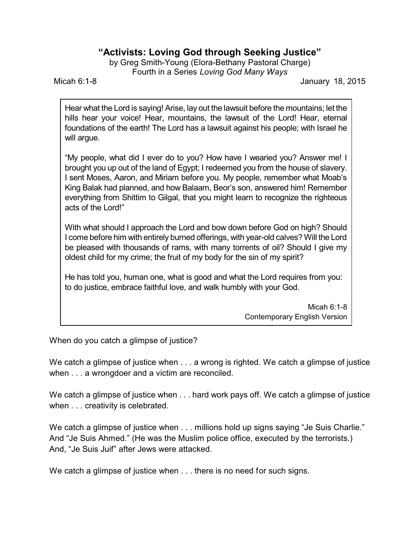## **"Activists: Loving God through Seeking Justice"**

by Greg Smith-Young (Elora-Bethany Pastoral Charge) Fourth in a Series *Loving God Many Ways*

Micah 6:1-8 January 18, 2015

Hear what the Lord is saying! Arise, lay out the lawsuit before the mountains; let the hills hear your voice! Hear, mountains, the lawsuit of the Lord! Hear, eternal foundations of the earth! The Lord has a lawsuit against his people; with Israel he will argue.

"My people, what did I ever do to you? How have I wearied you? Answer me! I brought you up out of the land of Egypt; I redeemed you from the house of slavery. I sent Moses, Aaron, and Miriam before you. My people, remember what Moab's King Balak had planned, and how Balaam, Beor's son, answered him! Remember everything from Shittim to Gilgal, that you might learn to recognize the righteous acts of the Lord!"

With what should I approach the Lord and bow down before God on high? Should I come before him with entirely burned offerings, with year-old calves? Will the Lord be pleased with thousands of rams, with many torrents of oil? Should I give my oldest child for my crime; the fruit of my body for the sin of my spirit?

He has told you, human one, what is good and what the Lord requires from you: to do justice, embrace faithful love, and walk humbly with your God.

> Micah 6:1-8 Contemporary English Version

When do you catch a glimpse of justice?

We catch a glimpse of justice when . . . a wrong is righted. We catch a glimpse of justice when . . . a wrongdoer and a victim are reconciled.

We catch a glimpse of justice when . . . hard work pays off. We catch a glimpse of justice when . . . creativity is celebrated.

We catch a glimpse of justice when . . . millions hold up signs saying "Je Suis Charlie." And "Je Suis Ahmed." (He was the Muslim police office, executed by the terrorists.) And, "Je Suis Juif" after Jews were attacked.

We catch a glimpse of justice when . . . there is no need for such signs.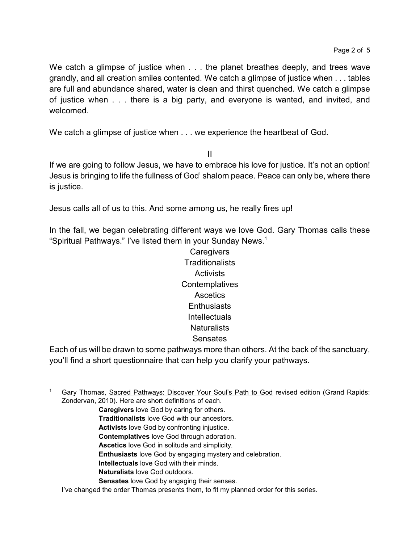We catch a glimpse of justice when . . . the planet breathes deeply, and trees wave grandly, and all creation smiles contented. We catch a glimpse of justice when . . . tables are full and abundance shared, water is clean and thirst quenched. We catch a glimpse of justice when . . . there is a big party, and everyone is wanted, and invited, and welcomed.

We catch a glimpse of justice when  $\ldots$  we experience the heartbeat of God.

II

If we are going to follow Jesus, we have to embrace his love for justice. It's not an option! Jesus is bringing to life the fullness of God' shalom peace. Peace can only be, where there is justice.

Jesus calls all of us to this. And some among us, he really fires up!

In the fall, we began celebrating different ways we love God. Gary Thomas calls these "Spiritual Pathways." I've listed them in your Sunday News.<sup>1</sup>

> **Caregivers Traditionalists Activists Contemplatives** Ascetics **Enthusiasts** Intellectuals **Naturalists Sensates**

Each of us will be drawn to some pathways more than others. At the back of the sanctuary, you'll find a short questionnaire that can help you clarify your pathways.

- **Traditionalists** love God with our ancestors.
- **Activists** love God by confronting injustice.
- **Contemplatives** love God through adoration.
- **Ascetics** love God in solitude and simplicity.
- **Enthusiasts** love God by engaging mystery and celebration.
- **Intellectuals** love God with their minds.
- **Naturalists** love God outdoors.
- **Sensates** love God by engaging their senses.

<sup>1</sup> Gary Thomas, Sacred Pathways: Discover Your Soul's Path to God revised edition (Grand Rapids: Zondervan, 2010). Here are short definitions of each.

**Caregivers** love God by caring for others.

I've changed the order Thomas presents them, to fit my planned order for this series.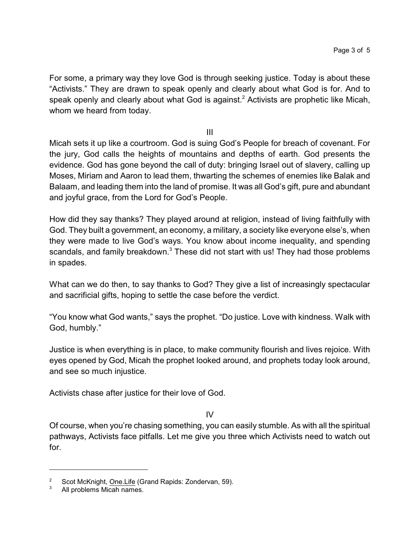For some, a primary way they love God is through seeking justice. Today is about these "Activists." They are drawn to speak openly and clearly about what God is for. And to speak openly and clearly about what God is against.<sup>2</sup> Activists are prophetic like Micah, whom we heard from today.

III

Micah sets it up like a courtroom. God is suing God's People for breach of covenant. For the jury, God calls the heights of mountains and depths of earth. God presents the evidence. God has gone beyond the call of duty: bringing Israel out of slavery, calling up Moses, Miriam and Aaron to lead them, thwarting the schemes of enemies like Balak and Balaam, and leading them into the land of promise. It was all God's gift, pure and abundant and joyful grace, from the Lord for God's People.

How did they say thanks? They played around at religion, instead of living faithfully with God. They built a government, an economy, a military, a society like everyone else's, when they were made to live God's ways. You know about income inequality, and spending scandals, and family breakdown.<sup>3</sup> These did not start with us! They had those problems in spades.

What can we do then, to say thanks to God? They give a list of increasingly spectacular and sacrificial gifts, hoping to settle the case before the verdict.

"You know what God wants," says the prophet. "Do justice. Love with kindness. Walk with God, humbly."

Justice is when everything is in place, to make community flourish and lives rejoice. With eyes opened by God, Micah the prophet looked around, and prophets today look around, and see so much injustice.

Activists chase after justice for their love of God.

IV

Of course, when you're chasing something, you can easily stumble. As with all the spiritual pathways, Activists face pitfalls. Let me give you three which Activists need to watch out for.

<sup>&</sup>lt;sup>2</sup> Scot McKnight, <u>One.Life</u> (Grand Rapids: Zondervan, 59).

All problems Micah names.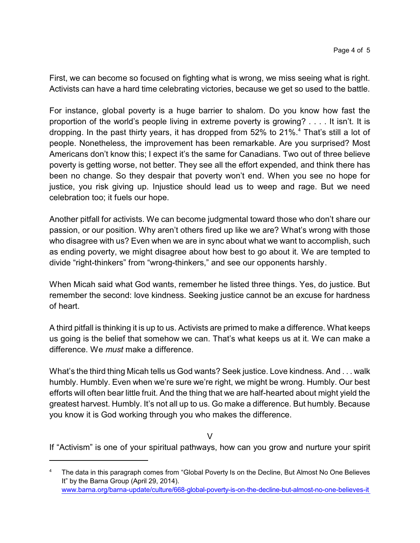First, we can become so focused on fighting what is wrong, we miss seeing what is right. Activists can have a hard time celebrating victories, because we get so used to the battle.

For instance, global poverty is a huge barrier to shalom. Do you know how fast the proportion of the world's people living in extreme poverty is growing? . . . . It isn't. It is dropping. In the past thirty years, it has dropped from 52% to 21%.<sup>4</sup> That's still a lot of people. Nonetheless, the improvement has been remarkable. Are you surprised? Most Americans don't know this; I expect it's the same for Canadians. Two out of three believe poverty is getting worse, not better. They see all the effort expended, and think there has been no change. So they despair that poverty won't end. When you see no hope for justice, you risk giving up. Injustice should lead us to weep and rage. But we need celebration too; it fuels our hope.

Another pitfall for activists. We can become judgmental toward those who don't share our passion, or our position. Why aren't others fired up like we are? What's wrong with those who disagree with us? Even when we are in sync about what we want to accomplish, such as ending poverty, we might disagree about how best to go about it. We are tempted to divide "right-thinkers" from "wrong-thinkers," and see our opponents harshly.

When Micah said what God wants, remember he listed three things. Yes, do justice. But remember the second: love kindness. Seeking justice cannot be an excuse for hardness of heart.

A third pitfall is thinking it is up to us. Activists are primed to make a difference. What keeps us going is the belief that somehow we can. That's what keeps us at it. We can make a difference. We *must* make a difference.

What's the third thing Micah tells us God wants? Seek justice. Love kindness. And . . . walk humbly. Humbly. Even when we're sure we're right, we might be wrong. Humbly. Our best efforts will often bear little fruit. And the thing that we are half-hearted about might yield the greatest harvest. Humbly. It's not all up to us. Go make a difference. But humbly. Because you know it is God working through you who makes the difference.

 $\vee$ 

If "Activism" is one of your spiritual pathways, how can you grow and nurture your spirit

The data in this paragraph comes from "Global Poverty Is on the Decline, But Almost No One Believes It" by the Barna Group (April 29, 2014). [www.barna.org/barna-update/culture/668-global-poverty-is-on-the-decline-but-almost-no-one-believes-it](https://www.barna.org/barna-update/culture/668-global-poverty-is-on-the-decline-but-almost-no-one-believes-it)